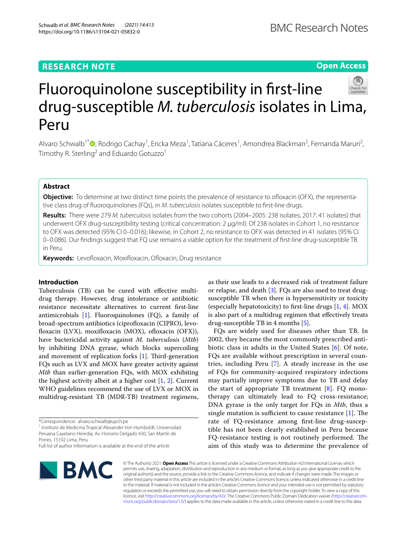## **RESEARCH NOTE**

# Fluoroquinolone susceptibility in frst-line drug-susceptible *M. tuberculosis* isolates in Lima, Peru

Alvaro Schwalb<sup>1[\\*](http://orcid.org/0000-0002-6518-9719)</sup>®, Rodrigo Cachay<sup>1</sup>, Ericka Meza<sup>1</sup>, Tatiana Cáceres<sup>1</sup>, Amondrea Blackman<sup>2</sup>, Fernanda Maruri<sup>2</sup>, Timothy R. Sterling<sup>2</sup> and Eduardo Gotuzzo<sup>1</sup>

## **Abstract**

**Objective:** To determine at two distinct time points the prevalence of resistance to ofloxacin (OFX), the representative class drug of fuoroquinolones (FQs), in *M. tuberculosis* isolates susceptible to frst-line drugs.

**Results:** There were 279 *M. tuberculosis* isolates from the two cohorts (2004–2005: 238 isolates; 2017: 41 isolates) that underwent OFX drug-susceptibility testing (critical concentration: 2 µg/ml). Of 238 isolates in Cohort 1, no resistance to OFX was detected (95% CI 0–0.016); likewise, in Cohort 2, no resistance to OFX was detected in 41 isolates (95% CI 0–0.086). Our fndings suggest that FQ use remains a viable option for the treatment of frst-line drug-susceptible TB in Peru.

**Keywords:** Levofloxacin, Moxifloxacin, Ofloxacin, Drug resistance

## **Introduction**

Tuberculosis (TB) can be cured with efective multidrug therapy. However, drug intolerance or antibiotic resistance necessitate alternatives to current frst-line antimicrobials [\[1](#page-2-0)]. Fluoroquinolones (FQ), a family of broad-spectrum antibiotics (ciprofloxacin (CIPRO), levofloxacin (LVX), moxifloxacin (MOX), ofloxacin (OFX)), have bactericidal activity against *M. tuberculosis* (*Mtb*) by inhibiting DNA gyrase, which blocks supercoiling and movement of replication forks  $[1]$  $[1]$ . Third-generation FQs such as LVX and MOX have greater activity against *Mtb* than earlier-generation FQs, with MOX exhibiting the highest activity albeit at a higher cost  $[1, 2]$  $[1, 2]$  $[1, 2]$ . Current WHO guidelines recommend the use of LVX or MOX in multidrug-resistant TB (MDR-TB) treatment regimens,

<sup>1</sup> Instituto de Medicina Tropical Alexander Von Humboldt, Universidad Peruana Cayetano Heredia, Av. Honorio Delgado 430, San Martín de Porres, 15102 Lima, Peru

as their use leads to a decreased risk of treatment failure or relapse, and death [[3\]](#page-2-2). FQs are also used to treat drugsusceptible TB when there is hypersensitivity or toxicity (especially hepatotoxicity) to first-line drugs  $[1, 4]$  $[1, 4]$  $[1, 4]$ . MOX is also part of a multidrug regimen that efectively treats drug-susceptible TB in 4 months [\[5](#page-2-4)].

FQs are widely used for diseases other than TB. In 2002, they became the most commonly prescribed antibiotic class in adults in the United States [[6](#page-3-0)]. Of note, FQs are available without prescription in several countries, including Peru [\[7](#page-3-1)]. A steady increase in the use of FQs for community-acquired respiratory infections may partially improve symptoms due to TB and delay the start of appropriate TB treatment  $[8]$  $[8]$  $[8]$ . FO monotherapy can ultimately lead to FQ cross-resistance; DNA gyrase is the only target for FQs in *Mtb*, thus a single mutation is sufficient to cause resistance  $[1]$  $[1]$ . The rate of FQ-resistance among frst-line drug-susceptible has not been clearly established in Peru because FQ-resistance testing is not routinely performed. The aim of this study was to determine the prevalence of

© The Author(s) 2021. **Open Access** This article is licensed under a Creative Commons Attribution 4.0 International License, which permits use, sharing, adaptation, distribution and reproduction in any medium or format, as long as you give appropriate credit to the original author(s) and the source, provide a link to the Creative Commons licence, and indicate if changes were made. The images or other third party material in this article are included in the article's Creative Commons licence, unless indicated otherwise in a credit line to the material. If material is not included in the article's Creative Commons licence and your intended use is not permitted by statutory regulation or exceeds the permitted use, you will need to obtain permission directly from the copyright holder. To view a copy of this licence, visit [http://creativecommons.org/licenses/by/4.0/.](http://creativecommons.org/licenses/by/4.0/) The Creative Commons Public Domain Dedication waiver ([http://creativecom](http://creativecommons.org/publicdomain/zero/1.0/)[mons.org/publicdomain/zero/1.0/\)](http://creativecommons.org/publicdomain/zero/1.0/) applies to the data made available in this article, unless otherwise stated in a credit line to the data.

Schwalb *et al. BMC Research Notes (2021) 14:413*  https://doi.org/10.1186/s13104-021-05832-0

**BMC** 





Full list of author information is available at the end of the article

<sup>\*</sup>Correspondence: alvaro.schwalb@upch.pe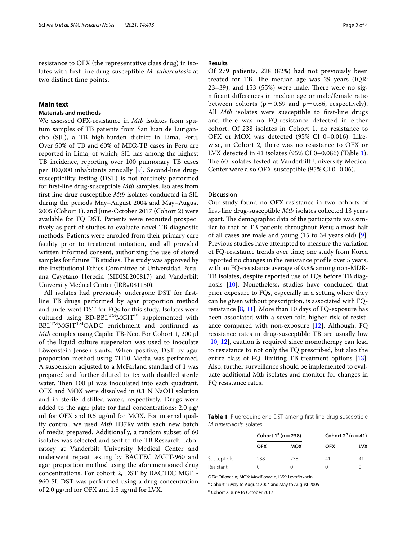resistance to OFX (the representative class drug) in isolates with frst-line drug-susceptible *M. tuberculosis* at two distinct time points.

## **Main text**

## **Materials and methods**

We assessed OFX-resistance in *Mtb* isolates from sputum samples of TB patients from San Juan de Lurigancho (SJL), a TB high-burden district in Lima, Peru. Over 50% of TB and 60% of MDR-TB cases in Peru are reported in Lima, of which, SJL has among the highest TB incidence, reporting over 100 pulmonary TB cases per 100,000 inhabitants annually [\[9](#page-3-3)]. Second-line drugsusceptibility testing (DST) is not routinely performed for frst-line drug-susceptible *Mtb* samples. Isolates from frst-line drug-susceptible *Mtb* isolates conducted in SJL during the periods May–August 2004 and May–August 2005 (Cohort 1), and June-October 2017 (Cohort 2) were available for FQ DST. Patients were recruited prospectively as part of studies to evaluate novel TB diagnostic methods. Patients were enrolled from their primary care facility prior to treatment initiation, and all provided written informed consent, authorizing the use of stored samples for future TB studies. The study was approved by the Institutional Ethics Committee of Universidad Peruana Cayetano Heredia (SIDISI:200817) and Vanderbilt University Medical Center (IRB#081130).

All isolates had previously undergone DST for frstline TB drugs performed by agar proportion method and underwent DST for FQs for this study. Isolates were cultured using  $B$ D-BBL<sup>TM</sup>MGIT<sup>™</sup> supplemented with BBL<sup>TM</sup>MGIT<sup>TM</sup>OADC enrichment and confirmed as *Mtb* complex using Capilia TB-Neo. For Cohort 1, 200 µl of the liquid culture suspension was used to inoculate Löwenstein-Jensen slants. When positive, DST by agar proportion method using 7H10 Media was performed. A suspension adjusted to a McFarland standard of 1 was prepared and further diluted to 1:5 with distilled sterile water. Then  $100$   $\mu$ l was inoculated into each quadrant. OFX and MOX were dissolved in 0.1 N NaOH solution and in sterile distilled water, respectively. Drugs were added to the agar plate for final concentrations: 2.0  $\mu$ g/ ml for OFX and 0.5 µg/ml for MOX. For internal quality control, we used *Mtb* H37Rv with each new batch of media prepared. Additionally, a random subset of 60 isolates was selected and sent to the TB Research Laboratory at Vanderbilt University Medical Center and underwent repeat testing by BACTEC MGIT-960 and agar proportion method using the aforementioned drug concentrations. For cohort 2, DST by BACTEC MGIT-960 SL-DST was performed using a drug concentration of 2.0  $\mu$ g/ml for OFX and 1.5  $\mu$ g/ml for LVX.

## **Results**

Of 279 patients, 228 (82%) had not previously been treated for TB. The median age was 29 years (IQR:  $23-39$ ), and  $153$  (55%) were male. There were no signifcant diferences in median age or male/female ratio between cohorts ( $p=0.69$  and  $p=0.86$ , respectively). All *Mtb* isolates were susceptible to first-line drugs and there was no FQ-resistance detected in either cohort. Of 238 isolates in Cohort 1, no resistance to OFX or MOX was detected (95% CI 0–0.016). Likewise, in Cohort 2, there was no resistance to OFX or LVX detected in 41 isolates (95% CI 0–0.086) (Table [1](#page-1-0)). The 60 isolates tested at Vanderbilt University Medical Center were also OFX-susceptible (95% CI 0–0.06).

#### **Discussion**

Our study found no OFX-resistance in two cohorts of frst-line drug-susceptible *Mtb* isolates collected 13 years apart. The demographic data of the participants was similar to that of TB patients throughout Peru; almost half of all cases are male and young (15 to 34 years old) [\[9](#page-3-3)]. Previous studies have attempted to measure the variation of FQ-resistance trends over time; one study from Korea reported no changes in the resistance profle over 5 years, with an FQ-resistance average of 0.8% among non-MDR-TB isolates, despite reported use of FQs before TB diagnosis [[10\]](#page-3-4). Nonetheless, studies have concluded that prior exposure to FQs, especially in a setting where they can be given without prescription, is associated with FQresistance  $[8, 11]$  $[8, 11]$  $[8, 11]$ . More than 10 days of FQ-exposure has been associated with a seven-fold higher risk of resistance compared with non-exposure [\[12](#page-3-6)]. Although, FQ resistance rates in drug-susceptible TB are usually low [[10,](#page-3-4) [12\]](#page-3-6), caution is required since monotherapy can lead to resistance to not only the FQ prescribed, but also the entire class of FQ, limiting TB treatment options [\[13](#page-3-7)]. Also, further surveillance should be implemented to evaluate additional Mtb isolates and monitor for changes in FQ resistance rates.

<span id="page-1-0"></span>**Table 1** Fluoroquinolone DST among frst-line drug-susceptible *M. tuberculosis* isolates

|             | Cohort $1^a$ (n = 238) |            | Cohort $2^b$ (n = 41) |            |
|-------------|------------------------|------------|-----------------------|------------|
|             | <b>OFX</b>             | <b>MOX</b> | <b>OFX</b>            | <b>LVX</b> |
| Susceptible | 238                    | 238        | 41                    |            |
| Resistant   |                        |            |                       |            |

OFX: Ofloxacin; MOX: Moxifloxacin; LVX: Levofloxacin

<sup>a</sup> Cohort 1: May to August 2004 and May to August 2005

**b** Cohort 2: June to October 2017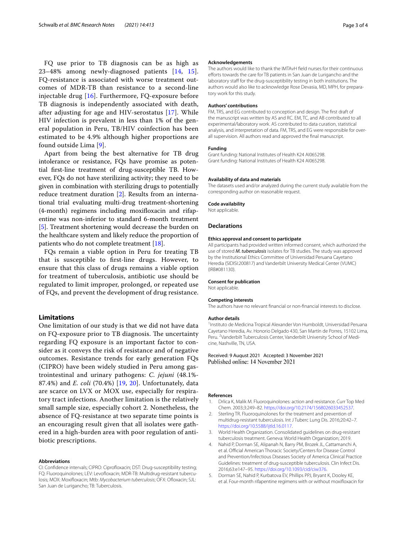FQ use prior to TB diagnosis can be as high as 23–48% among newly-diagnosed patients [\[14](#page-3-8), [15\]](#page-3-9). FQ-resistance is associated with worse treatment outcomes of MDR-TB than resistance to a second-line injectable drug [[16](#page-3-10)]. Furthermore, FQ-exposure before TB diagnosis is independently associated with death, after adjusting for age and HIV-serostatus [[17\]](#page-3-11). While HIV infection is prevalent in less than 1% of the general population in Peru, TB/HIV coinfection has been estimated to be 4.9% although higher proportions are found outside Lima [[9\]](#page-3-3).

Apart from being the best alternative for TB drug intolerance or resistance, FQs have promise as potential frst-line treatment of drug-susceptible TB. However, FQs do not have sterilizing activity; they need to be given in combination with sterilizing drugs to potentially reduce treatment duration [[2\]](#page-2-1). Results from an international trial evaluating multi-drug treatment-shortening (4-month) regimens including moxifoxacin and rifapentine was non-inferior to standard 6-month treatment [[5\]](#page-2-4). Treatment shortening would decrease the burden on the healthcare system and likely reduce the proportion of patients who do not complete treatment [\[18\]](#page-3-12).

FQs remain a viable option in Peru for treating TB that is susceptible to frst-line drugs. However, to ensure that this class of drugs remains a viable option for treatment of tuberculosis, antibiotic use should be regulated to limit improper, prolonged, or repeated use of FQs, and prevent the development of drug resistance.

### **Limitations**

One limitation of our study is that we did not have data on FQ-exposure prior to TB diagnosis. The uncertainty regarding FQ exposure is an important factor to consider as it conveys the risk of resistance and of negative outcomes. Resistance trends for early generation FQs (CIPRO) have been widely studied in Peru among gastrointestinal and urinary pathogens: *C. jejuni* (48.1%- 87.4%) and *E. coli* (70.4%) [[19,](#page-3-13) [20\]](#page-3-14). Unfortunately, data are scarce on LVX or MOX use, especially for respiratory tract infections. Another limitation is the relatively small sample size, especially cohort 2. Nonetheless, the absence of FQ-resistance at two separate time points is an encouraging result given that all isolates were gathered in a high-burden area with poor regulation of antibiotic prescriptions.

#### **Abbreviations**

CI: Confdence intervals; CIPRO: Ciprofoxacin; DST: Drug-susceptibility testing; FQ: Fluoroquinolones; LEV: Levofoxacin; MDR-TB: Multidrug-resistant tuberculosis; MOX: Moxifoxacin; Mtb: *Mycobacterium tuberculosis*; OFX: Ofoxacin; SJL: San Juan de Lurigancho; TB: Tuberculosis.

#### **Acknowledgements**

The authors would like to thank the IMTAvH feld nurses for their continuous eforts towards the care for TB patients in San Juan de Lurigancho and the laboratory staff for the drug-susceptibility testing in both institutions. The authors would also like to acknowledge Rose Devasia, MD, MPH, for preparatory work for this study.

#### **Authors' contributions**

FM, TRS, and EG contributed to conception and design. The frst draft of the manuscript was written by AS and RC. EM, TC, and AB contributed to all experimental/laboratory work. AS contributed to data curation, statistical analysis, and interpretation of data. FM, TRS, and EG were responsible for overall supervision. All authors read and approved the fnal manuscript.

#### **Funding**

Grant funding: National Institutes of Health K24 AI065298. Grant funding: National Institutes of Health K24 AI065298.

#### **Availability of data and materials**

The datasets used and/or analyzed during the current study available from the corresponding author on reasonable request.

#### **Code availability**

Not applicable.

#### **Declarations**

#### **Ethics approval and consent to participate**

All participants had provided written informed consent, which authorized the use of stored *M. tuberculosis* isolates for TB studies. The study was approved by the Institutional Ethics Committee of Universidad Peruana Cayetano Heredia (SIDISI:200817) and Vanderbilt University Medical Center (VUMC) (IRB#081130).

#### **Consent for publication**

Not applicable.

#### **Competing interests**

The authors have no relevant fnancial or non-fnancial interests to disclose.

#### **Author details**

1 Instituto de Medicina Tropical Alexander Von Humboldt, Universidad Peruana Cayetano Heredia, Av. Honorio Delgado 430, San Martín de Porres, 15102 Lima, Peru. <sup>2</sup> Vanderbilt Tuberculosis Center, Vanderbilt University School of Medicine, Nashville, TN, USA.

Received: 9 August 2021 Accepted: 3 November 2021

#### **References**

- <span id="page-2-0"></span>1. Drlica K, Malik M. Fluoroquinolones: action and resistance. Curr Top Med Chem. 2003;3:249–82. <https://doi.org/10.2174/1568026033452537>.
- <span id="page-2-1"></span>2. Sterling TR. Fluoroquinolones for the treatment and prevention of multidrug-resistant tuberculosis. Int J Tuberc Lung Dis. 2016;20:42–7. <https://doi.org/10.5588/ijtld.16.0117>.
- <span id="page-2-2"></span>3. World Health Organization. Consolidated guidelines on drug-resistant tuberculosis treatment. Geneva: World Health Organization; 2019.
- <span id="page-2-3"></span>4. Nahid P, Dorman SE, Alipanah N, Barry PM, Brozek JL, Cattamanchi A, et al. Official American Thoracic Society/Centers for Disease Control and Prevention/Infectious Diseases Society of America Clinical Practice Guidelines: treatment of drug-susceptible tuberculosis. Clin Infect Dis. 2016;63:e147–95. [https://doi.org/10.1093/cid/ciw376.](https://doi.org/10.1093/cid/ciw376)
- <span id="page-2-4"></span>5. Dorman SE, Nahid P, Kurbatova EV, Phillips PPJ, Bryant K, Dooley KE, et al. Four-month rifapentine regimens with or without moxifoxacin for